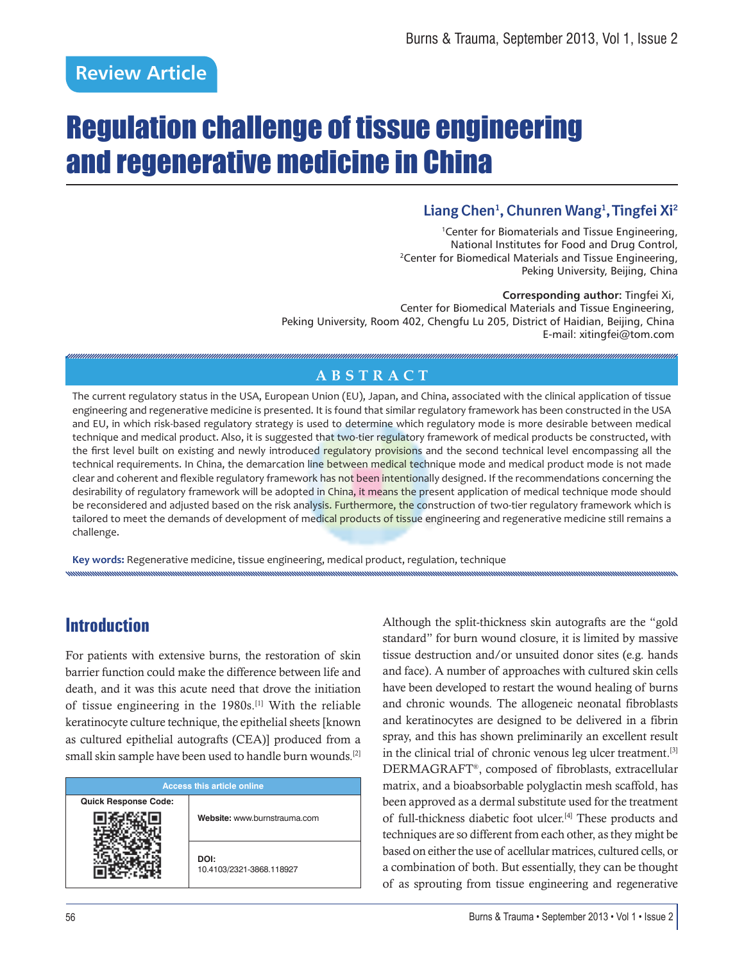# Regulation challenge of tissue engineering and regenerative medicine in China

### **Liang Chen1 , Chunren Wang1 , Tingfei Xi2**

<sup>1</sup>Center for Biomaterials and Tissue Engineering, National Institutes for Food and Drug Control, 2Center for Biomedical Materials and Tissue Engineering, Peking University, Beijing, China

**Corresponding author:** Tingfei Xi, Center for Biomedical Materials and Tissue Engineering, Peking University, Room 402, Chengfu Lu 205, District of Haidian, Beijing, China E-mail: xitingfei@tom.com

#### **ABSTRACT**

The current regulatory status in the USA, European Union (EU), Japan, and China, associated with the clinical application of tissue engineering and regenerative medicine is presented. It is found that similar regulatory framework has been constructed in the USA and EU, in which risk-based regulatory strategy is used to determine which regulatory mode is more desirable between medical technique and medical product. Also, it is suggested that two-tier regulatory framework of medical products be constructed, with the first level built on existing and newly introduced regulatory provisions and the second technical level encompassing all the technical requirements. In China, the demarcation line between medical technique mode and medical product mode is not made clear and coherent and flexible regulatory framework has not been intentionally designed. If the recommendations concerning the desirability of regulatory framework will be adopted in China, it means the present application of medical technique mode should be reconsidered and adjusted based on the risk analysis. Furthermore, the construction of two-tier regulatory framework which is tailored to meet the demands of development of medical products of tissue engineering and regenerative medicine still remains a challenge.

**Key words:** Regenerative medicine, tissue engineering, medical product, regulation, technique

# **Introduction**

For patients with extensive burns, the restoration of skin barrier function could make the difference between life and death, and it was this acute need that drove the initiation of tissue engineering in the 1980s.[1] With the reliable keratinocyte culture technique, the epithelial sheets [known as cultured epithelial autografts (CEA)] produced from a small skin sample have been used to handle burn wounds.[2]

|                             | <b>Access this article online</b> |
|-----------------------------|-----------------------------------|
| <b>Quick Response Code:</b> | Website: www.burnstrauma.com      |
|                             | DOI:<br>10.4103/2321-3868.118927  |

Although the split-thickness skin autografts are the "gold standard" for burn wound closure, it is limited by massive tissue destruction and/or unsuited donor sites (e.g. hands and face). A number of approaches with cultured skin cells have been developed to restart the wound healing of burns and chronic wounds. The allogeneic neonatal fibroblasts and keratinocytes are designed to be delivered in a fibrin spray, and this has shown preliminarily an excellent result in the clinical trial of chronic venous leg ulcer treatment.<sup>[3]</sup> DERMAGRAFT®, composed of fibroblasts, extracellular matrix, and a bioabsorbable polyglactin mesh scaffold, has been approved as a dermal substitute used for the treatment of full-thickness diabetic foot ulcer.<sup>[4]</sup> These products and techniques are so different from each other, as they might be based on either the use of acellular matrices, cultured cells, or a combination of both. But essentially, they can be thought of as sprouting from tissue engineering and regenerative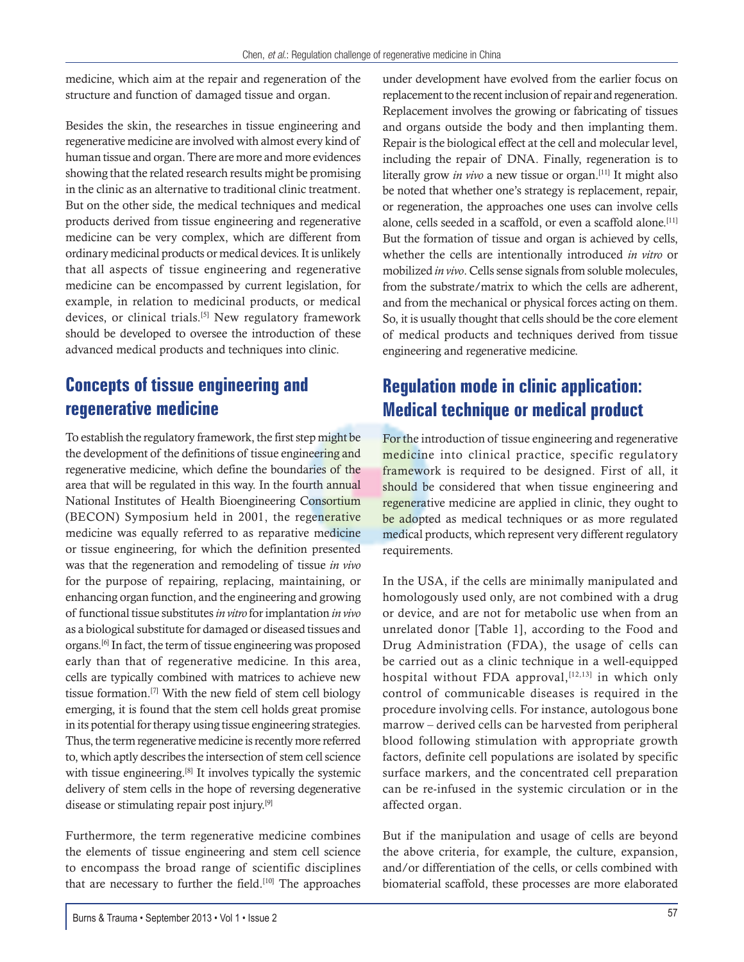medicine, which aim at the repair and regeneration of the structure and function of damaged tissue and organ.

Besides the skin, the researches in tissue engineering and regenerative medicine are involved with almost every kind of human tissue and organ. There are more and more evidences showing that the related research results might be promising in the clinic as an alternative to traditional clinic treatment. But on the other side, the medical techniques and medical products derived from tissue engineering and regenerative medicine can be very complex, which are different from ordinary medicinal products or medical devices. It is unlikely that all aspects of tissue engineering and regenerative medicine can be encompassed by current legislation, for example, in relation to medicinal products, or medical devices, or clinical trials.<sup>[5]</sup> New regulatory framework should be developed to oversee the introduction of these advanced medical products and techniques into clinic.

## **Concepts of tissue engineering and regenerative medicine**

To establish the regulatory framework, the first step might be the development of the definitions of tissue engineering and regenerative medicine, which define the boundaries of the area that will be regulated in this way. In the fourth annual National Institutes of Health Bioengineering Consortium (BECON) Symposium held in 2001, the regenerative medicine was equally referred to as reparative medicine or tissue engineering, for which the definition presented was that the regeneration and remodeling of tissue *in vivo*  for the purpose of repairing, replacing, maintaining, or enhancing organ function, and the engineering and growing of functional tissue substitutes *in vitro* for implantation *in vivo*  as a biological substitute for damaged or diseased tissues and organs.[6] In fact, the term of tissue engineering was proposed early than that of regenerative medicine. In this area, cells are typically combined with matrices to achieve new tissue formation.[7] With the new field of stem cell biology emerging, it is found that the stem cell holds great promise in its potential for therapy using tissue engineering strategies. Thus, the term regenerative medicine is recently more referred to, which aptly describes the intersection of stem cell science with tissue engineering.<sup>[8]</sup> It involves typically the systemic delivery of stem cells in the hope of reversing degenerative disease or stimulating repair post injury.[9]

Furthermore, the term regenerative medicine combines the elements of tissue engineering and stem cell science to encompass the broad range of scientific disciplines that are necessary to further the field.<sup>[10]</sup> The approaches under development have evolved from the earlier focus on replacement to the recent inclusion of repair and regeneration. Replacement involves the growing or fabricating of tissues and organs outside the body and then implanting them. Repair is the biological effect at the cell and molecular level, including the repair of DNA. Finally, regeneration is to literally grow *in vivo* a new tissue or organ.<sup>[11]</sup> It might also be noted that whether one's strategy is replacement, repair, or regeneration, the approaches one uses can involve cells alone, cells seeded in a scaffold, or even a scaffold alone.<sup>[11]</sup> But the formation of tissue and organ is achieved by cells, whether the cells are intentionally introduced *in vitro* or mobilized *in vivo*. Cells sense signals from soluble molecules, from the substrate/matrix to which the cells are adherent, and from the mechanical or physical forces acting on them. So, it is usually thought that cells should be the core element of medical products and techniques derived from tissue engineering and regenerative medicine.

# **Regulation mode in clinic application: Medical technique or medical product**

For the introduction of tissue engineering and regenerative medicine into clinical practice, specific regulatory framework is required to be designed. First of all, it should be considered that when tissue engineering and regenerative medicine are applied in clinic, they ought to be adopted as medical techniques or as more regulated medical products, which represent very different regulatory requirements.

In the USA, if the cells are minimally manipulated and homologously used only, are not combined with a drug or device, and are not for metabolic use when from an unrelated donor [Table 1], according to the Food and Drug Administration (FDA), the usage of cells can be carried out as a clinic technique in a well-equipped hospital without FDA approval,  $[12,13]$  in which only control of communicable diseases is required in the procedure involving cells. For instance, autologous bone marrow – derived cells can be harvested from peripheral blood following stimulation with appropriate growth factors, definite cell populations are isolated by specific surface markers, and the concentrated cell preparation can be re-infused in the systemic circulation or in the affected organ.

But if the manipulation and usage of cells are beyond the above criteria, for example, the culture, expansion, and/or differentiation of the cells, or cells combined with biomaterial scaffold, these processes are more elaborated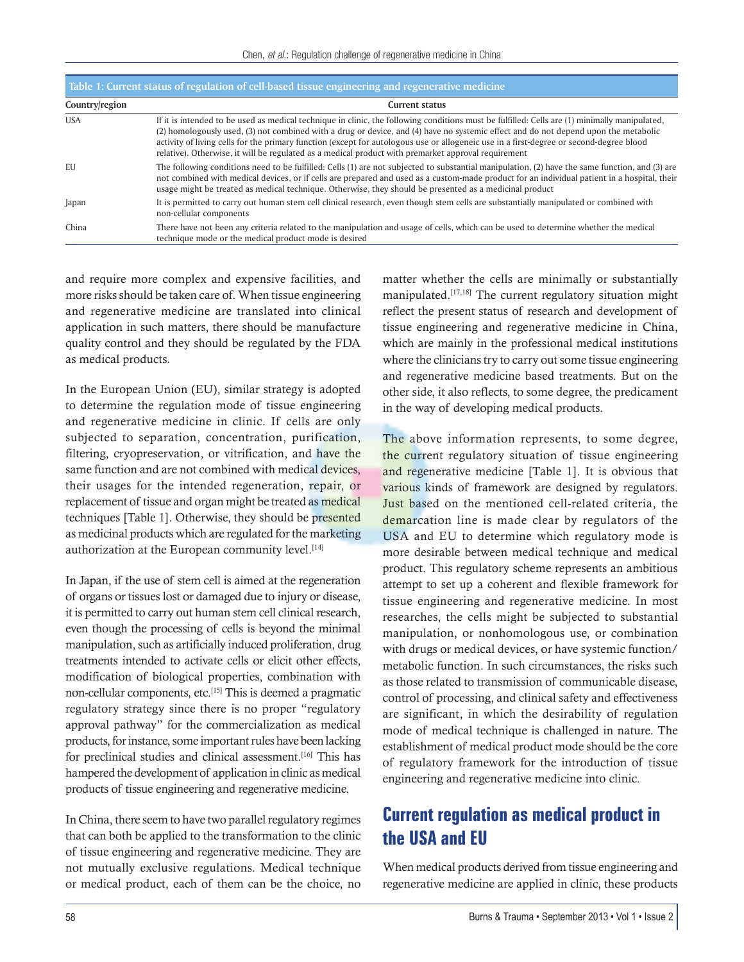| Table 1: Current status of regulation of cell-based tissue engineering and regenerative medicine |                                                                                                                                                                                                                                                                                                                                                                                                                                                                                                                                        |
|--------------------------------------------------------------------------------------------------|----------------------------------------------------------------------------------------------------------------------------------------------------------------------------------------------------------------------------------------------------------------------------------------------------------------------------------------------------------------------------------------------------------------------------------------------------------------------------------------------------------------------------------------|
| Country/region                                                                                   | <b>Current status</b>                                                                                                                                                                                                                                                                                                                                                                                                                                                                                                                  |
| <b>USA</b>                                                                                       | If it is intended to be used as medical technique in clinic, the following conditions must be fulfilled. Cells are (1) minimally manipulated,<br>(2) homologously used, (3) not combined with a drug or device, and (4) have no systemic effect and do not depend upon the metabolic<br>activity of living cells for the primary function (except for autologous use or allogeneic use in a first-degree or second-degree blood<br>relative). Otherwise, it will be regulated as a medical product with premarket approval requirement |
| EU                                                                                               | The following conditions need to be fulfilled: Cells (1) are not subjected to substantial manipulation, (2) have the same function, and (3) are<br>not combined with medical devices, or if cells are prepared and used as a custom-made product for an individual patient in a hospital, their<br>usage might be treated as medical technique. Otherwise, they should be presented as a medicinal product                                                                                                                             |
| Japan                                                                                            | It is permitted to carry out human stem cell clinical research, even though stem cells are substantially manipulated or combined with<br>non-cellular components                                                                                                                                                                                                                                                                                                                                                                       |
| China                                                                                            | There have not been any criteria related to the manipulation and usage of cells, which can be used to determine whether the medical<br>technique mode or the medical product mode is desired                                                                                                                                                                                                                                                                                                                                           |

and require more complex and expensive facilities, and more risks should be taken care of. When tissue engineering and regenerative medicine are translated into clinical application in such matters, there should be manufacture quality control and they should be regulated by the FDA as medical products.

In the European Union (EU), similar strategy is adopted to determine the regulation mode of tissue engineering and regenerative medicine in clinic. If cells are only subjected to separation, concentration, purification, filtering, cryopreservation, or vitrification, and have the same function and are not combined with medical devices, their usages for the intended regeneration, repair, or replacement of tissue and organ might be treated as medical techniques [Table 1]. Otherwise, they should be presented as medicinal products which are regulated for the marketing authorization at the European community level.<sup>[14]</sup>

In Japan, if the use of stem cell is aimed at the regeneration of organs or tissues lost or damaged due to injury or disease, it is permitted to carry out human stem cell clinical research, even though the processing of cells is beyond the minimal manipulation, such as artificially induced proliferation, drug treatments intended to activate cells or elicit other effects, modification of biological properties, combination with non-cellular components, etc.[15] This is deemed a pragmatic regulatory strategy since there is no proper "regulatory approval pathway" for the commercialization as medical products, for instance, some important rules have been lacking for preclinical studies and clinical assessment.[16] This has hampered the development of application in clinic as medical products of tissue engineering and regenerative medicine.

In China, there seem to have two parallel regulatory regimes that can both be applied to the transformation to the clinic of tissue engineering and regenerative medicine. They are not mutually exclusive regulations. Medical technique or medical product, each of them can be the choice, no matter whether the cells are minimally or substantially manipulated.[17,18] The current regulatory situation might reflect the present status of research and development of tissue engineering and regenerative medicine in China, which are mainly in the professional medical institutions where the clinicians try to carry out some tissue engineering and regenerative medicine based treatments. But on the other side, it also reflects, to some degree, the predicament in the way of developing medical products.

The above information represents, to some degree, the current regulatory situation of tissue engineering and regenerative medicine [Table 1]. It is obvious that various kinds of framework are designed by regulators. Just based on the mentioned cell-related criteria, the demarcation line is made clear by regulators of the USA and EU to determine which regulatory mode is more desirable between medical technique and medical product. This regulatory scheme represents an ambitious attempt to set up a coherent and flexible framework for tissue engineering and regenerative medicine. In most researches, the cells might be subjected to substantial manipulation, or nonhomologous use, or combination with drugs or medical devices, or have systemic function/ metabolic function. In such circumstances, the risks such as those related to transmission of communicable disease, control of processing, and clinical safety and effectiveness are significant, in which the desirability of regulation mode of medical technique is challenged in nature. The establishment of medical product mode should be the core of regulatory framework for the introduction of tissue engineering and regenerative medicine into clinic.

## **Current regulation as medical product in the USA and EU**

When medical products derived from tissue engineering and regenerative medicine are applied in clinic, these products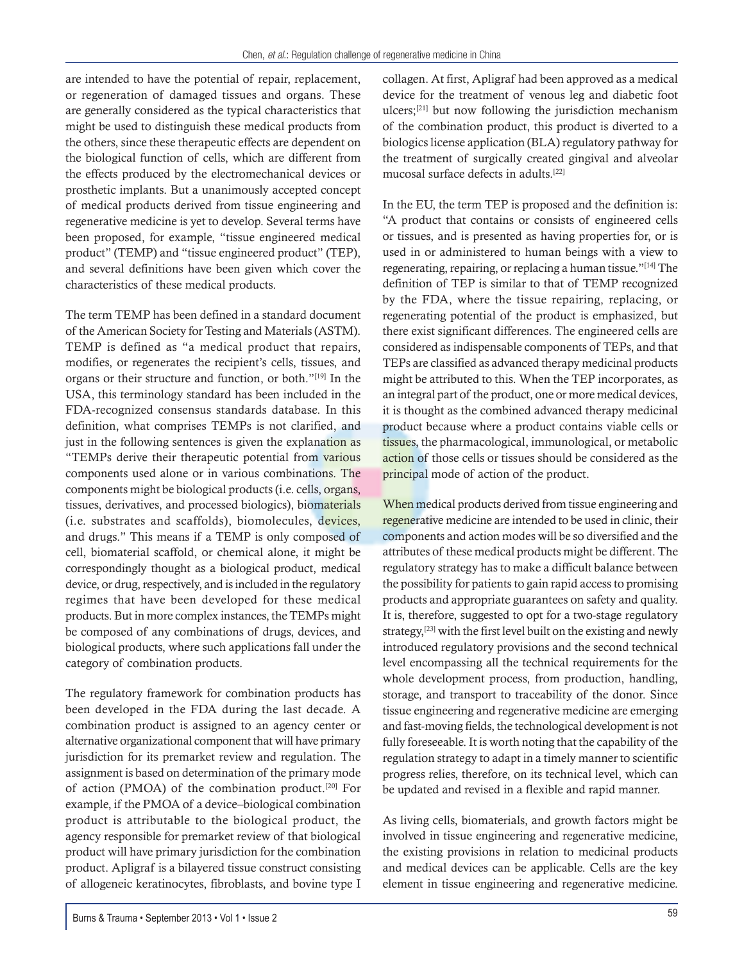are intended to have the potential of repair, replacement, or regeneration of damaged tissues and organs. These are generally considered as the typical characteristics that might be used to distinguish these medical products from the others, since these therapeutic effects are dependent on the biological function of cells, which are different from the effects produced by the electromechanical devices or prosthetic implants. But a unanimously accepted concept of medical products derived from tissue engineering and regenerative medicine is yet to develop. Several terms have been proposed, for example, "tissue engineered medical product" (TEMP) and "tissue engineered product" (TEP), and several definitions have been given which cover the characteristics of these medical products.

The term TEMP has been defined in a standard document of the American Society for Testing and Materials (ASTM). TEMP is defined as "a medical product that repairs, modifies, or regenerates the recipient's cells, tissues, and organs or their structure and function, or both."[19] In the USA, this terminology standard has been included in the FDA-recognized consensus standards database. In this definition, what comprises TEMPs is not clarified, and just in the following sentences is given the explanation as "TEMPs derive their therapeutic potential from various components used alone or in various combinations. The components might be biological products (i.e. cells, organs, tissues, derivatives, and processed biologics), biomaterials (i.e. substrates and scaffolds), biomolecules, devices, and drugs." This means if a TEMP is only composed of cell, biomaterial scaffold, or chemical alone, it might be correspondingly thought as a biological product, medical device, or drug, respectively, and is included in the regulatory regimes that have been developed for these medical products. But in more complex instances, the TEMPs might be composed of any combinations of drugs, devices, and biological products, where such applications fall under the category of combination products.

The regulatory framework for combination products has been developed in the FDA during the last decade. A combination product is assigned to an agency center or alternative organizational component that will have primary jurisdiction for its premarket review and regulation. The assignment is based on determination of the primary mode of action (PMOA) of the combination product.<sup>[20]</sup> For example, if the PMOA of a device–biological combination product is attributable to the biological product, the agency responsible for premarket review of that biological product will have primary jurisdiction for the combination product. Apligraf is a bilayered tissue construct consisting of allogeneic keratinocytes, fibroblasts, and bovine type I

collagen. At first, Apligraf had been approved as a medical device for the treatment of venous leg and diabetic foot ulcers;[21] but now following the jurisdiction mechanism of the combination product, this product is diverted to a biologics license application (BLA) regulatory pathway for the treatment of surgically created gingival and alveolar mucosal surface defects in adults.[22]

In the EU, the term TEP is proposed and the definition is: "A product that contains or consists of engineered cells or tissues, and is presented as having properties for, or is used in or administered to human beings with a view to regenerating, repairing, or replacing a human tissue."[14] The definition of TEP is similar to that of TEMP recognized by the FDA, where the tissue repairing, replacing, or regenerating potential of the product is emphasized, but there exist significant differences. The engineered cells are considered as indispensable components of TEPs, and that TEPs are classified as advanced therapy medicinal products might be attributed to this. When the TEP incorporates, as an integral part of the product, one or more medical devices, it is thought as the combined advanced therapy medicinal product because where a product contains viable cells or tissues, the pharmacological, immunological, or metabolic action of those cells or tissues should be considered as the principal mode of action of the product.

When medical products derived from tissue engineering and regenerative medicine are intended to be used in clinic, their components and action modes will be so diversified and the attributes of these medical products might be different. The regulatory strategy has to make a difficult balance between the possibility for patients to gain rapid access to promising products and appropriate guarantees on safety and quality. It is, therefore, suggested to opt for a two-stage regulatory strategy,<sup>[23]</sup> with the first level built on the existing and newly introduced regulatory provisions and the second technical level encompassing all the technical requirements for the whole development process, from production, handling, storage, and transport to traceability of the donor. Since tissue engineering and regenerative medicine are emerging and fast-moving fields, the technological development is not fully foreseeable. It is worth noting that the capability of the regulation strategy to adapt in a timely manner to scientific progress relies, therefore, on its technical level, which can be updated and revised in a flexible and rapid manner.

As living cells, biomaterials, and growth factors might be involved in tissue engineering and regenerative medicine, the existing provisions in relation to medicinal products and medical devices can be applicable. Cells are the key element in tissue engineering and regenerative medicine.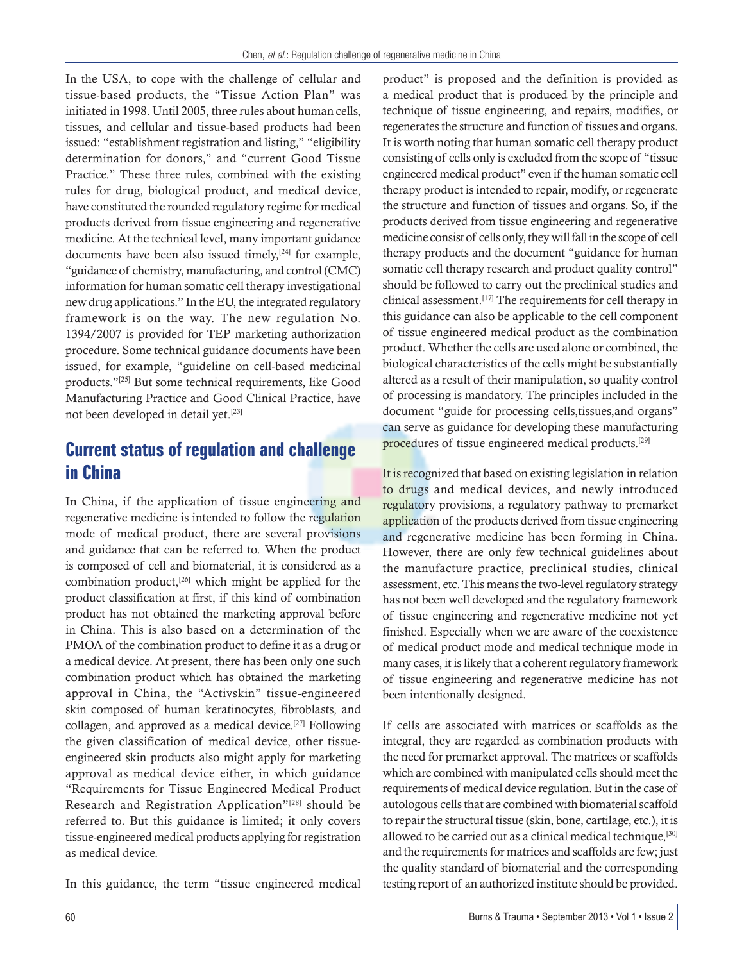In the USA, to cope with the challenge of cellular and tissue-based products, the "Tissue Action Plan" was initiated in 1998. Until 2005, three rules about human cells, tissues, and cellular and tissue-based products had been issued: "establishment registration and listing," "eligibility determination for donors," and "current Good Tissue Practice." These three rules, combined with the existing rules for drug, biological product, and medical device, have constituted the rounded regulatory regime for medical products derived from tissue engineering and regenerative medicine. At the technical level, many important guidance documents have been also issued timely, $[24]$  for example, "guidance of chemistry, manufacturing, and control (CMC) information for human somatic cell therapy investigational new drug applications." In the EU, the integrated regulatory framework is on the way. The new regulation No. 1394/2007 is provided for TEP marketing authorization procedure. Some technical guidance documents have been issued, for example, "guideline on cell-based medicinal products."[25] But some technical requirements, like Good Manufacturing Practice and Good Clinical Practice, have not been developed in detail yet.[23]

## **Current status of regulation and challenge in China**

In China, if the application of tissue engineering and regenerative medicine is intended to follow the regulation mode of medical product, there are several provisions and guidance that can be referred to. When the product is composed of cell and biomaterial, it is considered as a combination product,<sup>[26]</sup> which might be applied for the product classification at first, if this kind of combination product has not obtained the marketing approval before in China. This is also based on a determination of the PMOA of the combination product to define it as a drug or a medical device. At present, there has been only one such combination product which has obtained the marketing approval in China, the "Activskin" tissue-engineered skin composed of human keratinocytes, fibroblasts, and collagen, and approved as a medical device.<sup>[27]</sup> Following the given classification of medical device, other tissueengineered skin products also might apply for marketing approval as medical device either, in which guidance "Requirements for Tissue Engineered Medical Product Research and Registration Application"[28] should be referred to. But this guidance is limited; it only covers tissue-engineered medical products applying for registration as medical device.

In this guidance, the term "tissue engineered medical

product" is proposed and the definition is provided as a medical product that is produced by the principle and technique of tissue engineering, and repairs, modifies, or regenerates the structure and function of tissues and organs. It is worth noting that human somatic cell therapy product consisting of cells only is excluded from the scope of "tissue engineered medical product" even if the human somatic cell therapy product is intended to repair, modify, or regenerate the structure and function of tissues and organs. So, if the products derived from tissue engineering and regenerative medicine consist of cells only, they will fall in the scope of cell therapy products and the document "guidance for human somatic cell therapy research and product quality control" should be followed to carry out the preclinical studies and clinical assessment.[17] The requirements for cell therapy in this guidance can also be applicable to the cell component of tissue engineered medical product as the combination product. Whether the cells are used alone or combined, the biological characteristics of the cells might be substantially altered as a result of their manipulation, so quality control of processing is mandatory. The principles included in the document "guide for processing cells,tissues,and organs" can serve as guidance for developing these manufacturing procedures of tissue engineered medical products.<sup>[29]</sup>

It is recognized that based on existing legislation in relation to drugs and medical devices, and newly introduced regulatory provisions, a regulatory pathway to premarket application of the products derived from tissue engineering and regenerative medicine has been forming in China. However, there are only few technical guidelines about the manufacture practice, preclinical studies, clinical assessment, etc. This means the two-level regulatory strategy has not been well developed and the regulatory framework of tissue engineering and regenerative medicine not yet finished. Especially when we are aware of the coexistence of medical product mode and medical technique mode in many cases, it is likely that a coherent regulatory framework of tissue engineering and regenerative medicine has not been intentionally designed.

If cells are associated with matrices or scaffolds as the integral, they are regarded as combination products with the need for premarket approval. The matrices or scaffolds which are combined with manipulated cells should meet the requirements of medical device regulation. But in the case of autologous cells that are combined with biomaterial scaffold to repair the structural tissue (skin, bone, cartilage, etc.), it is allowed to be carried out as a clinical medical technique,<sup>[30]</sup> and the requirements for matrices and scaffolds are few; just the quality standard of biomaterial and the corresponding testing report of an authorized institute should be provided.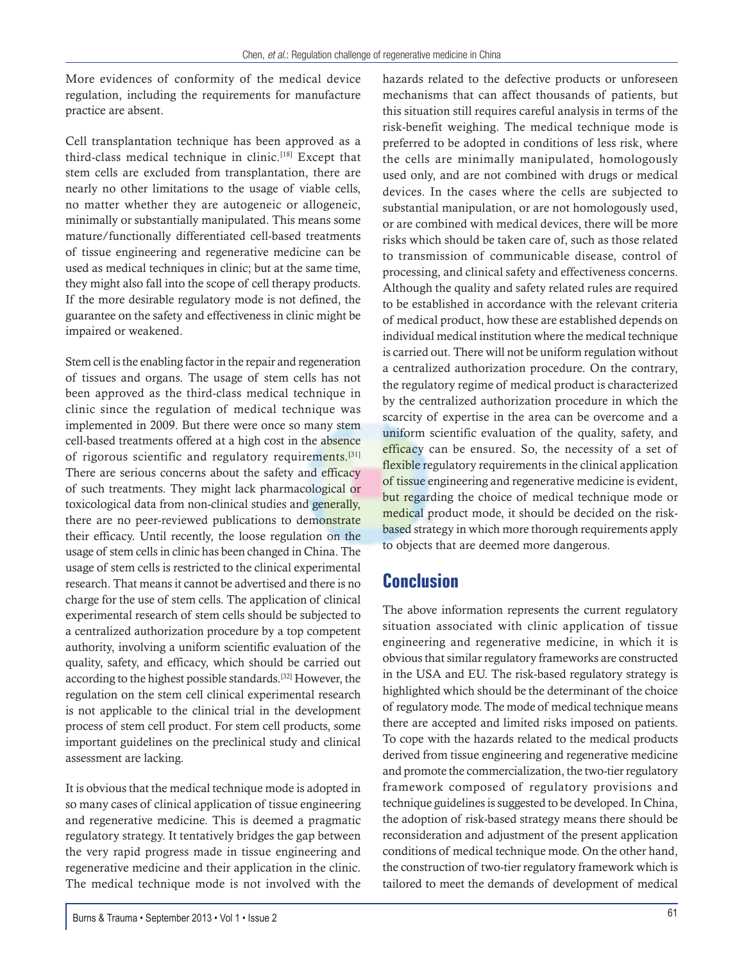More evidences of conformity of the medical device regulation, including the requirements for manufacture practice are absent.

Cell transplantation technique has been approved as a third-class medical technique in clinic.[18] Except that stem cells are excluded from transplantation, there are nearly no other limitations to the usage of viable cells, no matter whether they are autogeneic or allogeneic, minimally or substantially manipulated. This means some mature/functionally differentiated cell-based treatments of tissue engineering and regenerative medicine can be used as medical techniques in clinic; but at the same time, they might also fall into the scope of cell therapy products. If the more desirable regulatory mode is not defined, the guarantee on the safety and effectiveness in clinic might be impaired or weakened.

Stem cell is the enabling factor in the repair and regeneration of tissues and organs. The usage of stem cells has not been approved as the third-class medical technique in clinic since the regulation of medical technique was implemented in 2009. But there were once so many stem cell-based treatments offered at a high cost in the absence of rigorous scientific and regulatory requirements.<sup>[31]</sup> There are serious concerns about the safety and efficacy of such treatments. They might lack pharmacological or toxicological data from non-clinical studies and generally, there are no peer-reviewed publications to demonstrate their efficacy. Until recently, the loose regulation on the usage of stem cells in clinic has been changed in China. The usage of stem cells is restricted to the clinical experimental research. That means it cannot be advertised and there is no charge for the use of stem cells. The application of clinical experimental research of stem cells should be subjected to a centralized authorization procedure by a top competent authority, involving a uniform scientific evaluation of the quality, safety, and efficacy, which should be carried out according to the highest possible standards.[32] However, the regulation on the stem cell clinical experimental research is not applicable to the clinical trial in the development process of stem cell product. For stem cell products, some important guidelines on the preclinical study and clinical assessment are lacking.

It is obvious that the medical technique mode is adopted in so many cases of clinical application of tissue engineering and regenerative medicine. This is deemed a pragmatic regulatory strategy. It tentatively bridges the gap between the very rapid progress made in tissue engineering and regenerative medicine and their application in the clinic. The medical technique mode is not involved with the

hazards related to the defective products or unforeseen mechanisms that can affect thousands of patients, but this situation still requires careful analysis in terms of the risk-benefit weighing. The medical technique mode is preferred to be adopted in conditions of less risk, where the cells are minimally manipulated, homologously used only, and are not combined with drugs or medical devices. In the cases where the cells are subjected to substantial manipulation, or are not homologously used, or are combined with medical devices, there will be more risks which should be taken care of, such as those related to transmission of communicable disease, control of processing, and clinical safety and effectiveness concerns. Although the quality and safety related rules are required to be established in accordance with the relevant criteria of medical product, how these are established depends on individual medical institution where the medical technique is carried out. There will not be uniform regulation without a centralized authorization procedure. On the contrary, the regulatory regime of medical product is characterized by the centralized authorization procedure in which the scarcity of expertise in the area can be overcome and a uniform scientific evaluation of the quality, safety, and efficacy can be ensured. So, the necessity of a set of flexible regulatory requirements in the clinical application of tissue engineering and regenerative medicine is evident, but regarding the choice of medical technique mode or medical product mode, it should be decided on the riskbased strategy in which more thorough requirements apply to objects that are deemed more dangerous.

#### **Conclusion**

The above information represents the current regulatory situation associated with clinic application of tissue engineering and regenerative medicine, in which it is obvious that similar regulatory frameworks are constructed in the USA and EU. The risk-based regulatory strategy is highlighted which should be the determinant of the choice of regulatory mode. The mode of medical technique means there are accepted and limited risks imposed on patients. To cope with the hazards related to the medical products derived from tissue engineering and regenerative medicine and promote the commercialization, the two-tier regulatory framework composed of regulatory provisions and technique guidelines is suggested to be developed. In China, the adoption of risk-based strategy means there should be reconsideration and adjustment of the present application conditions of medical technique mode. On the other hand, the construction of two-tier regulatory framework which is tailored to meet the demands of development of medical